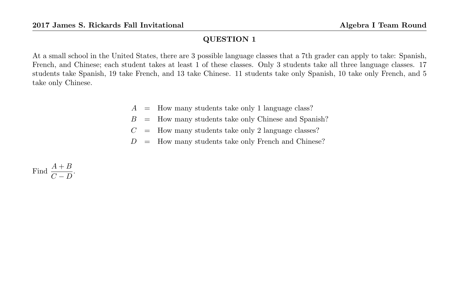At a small school in the United States, there are 3 possible language classes that a 7th grader can apply to take: Spanish, French, and Chinese; each student takes at least 1 of these classes. Only 3 students take all three language classes. 17 students take Spanish, 19 take French, and 13 take Chinese. 11 students take only Spanish, 10 take only French, and 5 take only Chinese.

- $A =$  How many students take only 1 language class?
- $B =$  How many students take only Chinese and Spanish?
- $C =$  How many students take only 2 language classes?
- $D =$  How many students take only French and Chinese?

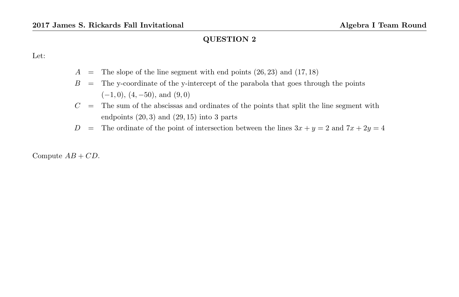Let:

- $A =$  The slope of the line segment with end points  $(26, 23)$  and  $(17, 18)$
- $B =$ The y-coordinate of the y-intercept of the parabola that goes through the points  $(-1, 0), (4, -50), \text{ and } (9, 0)$
- $C =$  The sum of the abscissas and ordinates of the points that split the line segment with endpoints  $(20, 3)$  and  $(29, 15)$  into 3 parts
- D = The ordinate of the point of intersection between the lines  $3x + y = 2$  and  $7x + 2y = 4$

Compute  $AB + CD$ .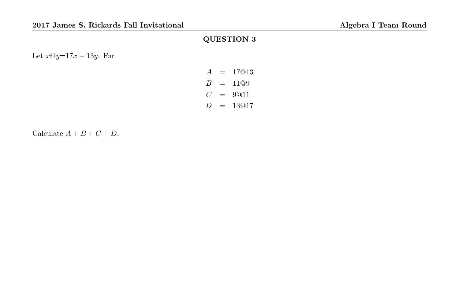Let  $x@y=17x-13y$ . For

$$
A = 17@13
$$
  
\n
$$
B = 11@9
$$
  
\n
$$
C = 9@11
$$
  
\n
$$
D = 13@17
$$

Calculate  $A + B + C + D$ .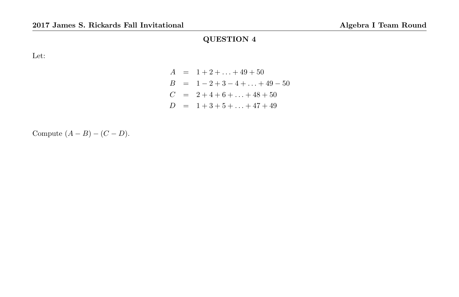Let:

$$
A = 1 + 2 + \dots + 49 + 50
$$
  
\n
$$
B = 1 - 2 + 3 - 4 + \dots + 49 - 50
$$
  
\n
$$
C = 2 + 4 + 6 + \dots + 48 + 50
$$
  
\n
$$
D = 1 + 3 + 5 + \dots + 47 + 49
$$

Compute  $(A - B) - (C - D)$ .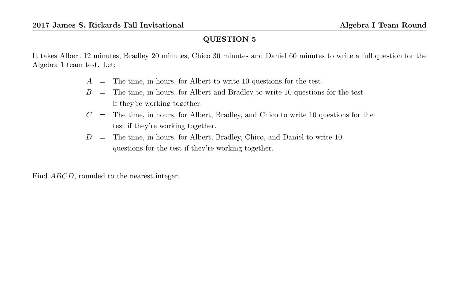It takes Albert 12 minutes, Bradley 20 minutes, Chico 30 minutes and Daniel 60 minutes to write a full question for the Algebra 1 team test. Let:

- $A =$ The time, in hours, for Albert to write 10 questions for the test.
- $B =$  The time, in hours, for Albert and Bradley to write 10 questions for the test if they're working together.
- $C =$  The time, in hours, for Albert, Bradley, and Chico to write 10 questions for the test if they're working together.
- $D =$  The time, in hours, for Albert, Bradley, Chico, and Daniel to write 10 questions for the test if they're working together.

Find ABCD, rounded to the nearest integer.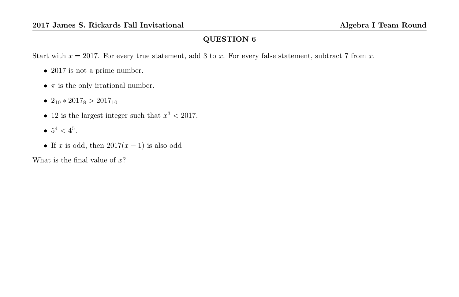Start with  $x = 2017$ . For every true statement, add 3 to x. For every false statement, subtract 7 from x.

- 2017 is not a prime number.
- $\pi$  is the only irrational number.
- $2_{10} * 2017_8 > 2017_{10}$
- 12 is the largest integer such that  $x^3 < 2017$ .
- $5^4 < 4^5$ .
- If x is odd, then  $2017(x-1)$  is also odd

What is the final value of  $x$ ?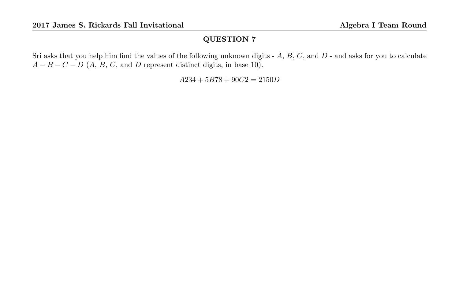Sri asks that you help him find the values of the following unknown digits -  $A, B, C$ , and  $D$  - and asks for you to calculate  $A - B - C - D$  (A, B, C, and D represent distinct digits, in base 10).

 $A234 + 5B78 + 90C2 = 2150D$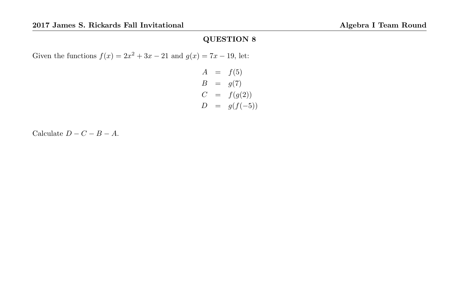Given the functions  $f(x) = 2x^2 + 3x - 21$  and  $g(x) = 7x - 19$ , let:

$$
A = f(5)
$$
  
\n
$$
B = g(7)
$$
  
\n
$$
C = f(g(2))
$$
  
\n
$$
D = g(f(-5))
$$

Calculate  $D - C - B - A$ .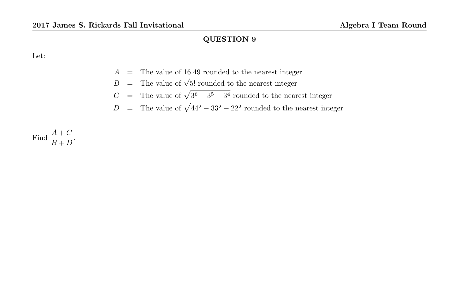Let:

- A = The value of 16.49 rounded to the nearest integer
- $B =$  The value of  $\sqrt{5!}$  rounded to the nearest integer
- C = The value of  $\sqrt{3^6 3^5 3^4}$  rounded to the nearest integer
- D = The value of  $\sqrt{44^2 33^2 22^2}$  rounded to the nearest integer

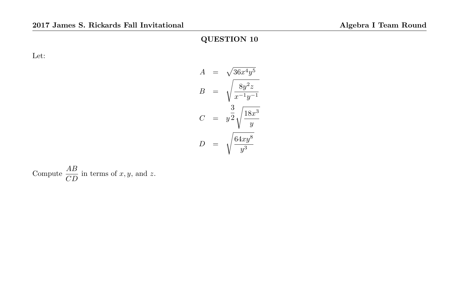Let:

$$
A = \sqrt{36x^4y^5}
$$

$$
B = \sqrt{\frac{8y^2z}{x^{-1}y^{-1}}}
$$

$$
C = y^{\frac{3}{2}}\sqrt{\frac{18x^3}{y}}
$$

$$
D = \sqrt{\frac{64xy^8}{y^3}}
$$

Compute  $\frac{AB}{CD}$  in terms of x, y, and z.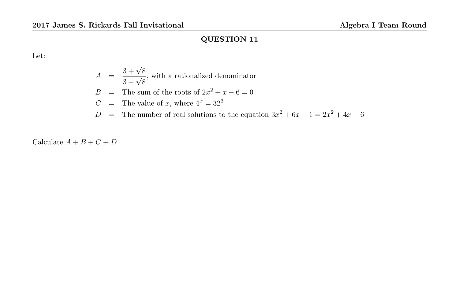Let:

$$
A = \frac{3 + \sqrt{8}}{3 - \sqrt{8}}
$$
, with a rationalized denominator  
\n
$$
B = \text{The sum of the roots of } 2x^2 + x - 6 = 0
$$
  
\n
$$
C = \text{The value of } x \text{, where } 4^x = 32^3
$$
  
\n
$$
D = \text{The number of real solutions to the equation } 3x^2 + 6x - 1 = 2x^2 + 4x - 6
$$

Calculate  $A+B+C+D$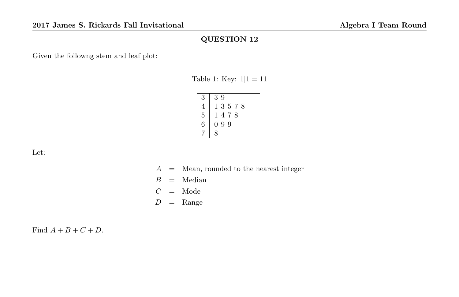Given the followng stem and leaf plot:

Table 1: Key:  $1|1 = 11$ 

| 3 | 39           |
|---|--------------|
| 4 | 13578        |
| 5 | 1478         |
| 6 | 9<br>-9<br>0 |
|   | R            |

Let:

 $A =$  Mean, rounded to the nearest integer  $B =$  Median  $C =$  Mode  $D = \text{Range}$ 

Find  $A + B + C + D$ .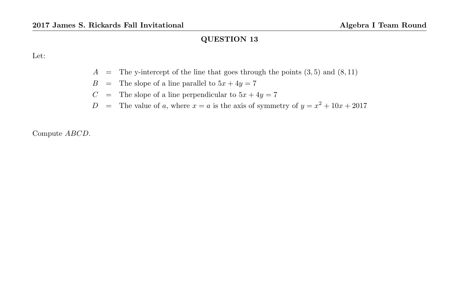Let:

- $A =$  The y-intercept of the line that goes through the points  $(3, 5)$  and  $(8, 11)$
- $B =$  The slope of a line parallel to  $5x + 4y = 7$
- $C =$  The slope of a line perpendicular to  $5x + 4y = 7$
- D = The value of a, where  $x = a$  is the axis of symmetry of  $y = x^2 + 10x + 2017$

Compute ABCD.